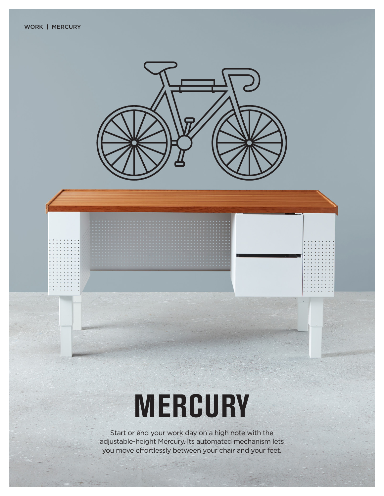

# **MERCURY**

Start or end your work day on a high note with the adjustable-height Mercury. Its automated mechanism lets you move effortlessly between your chair and your feet.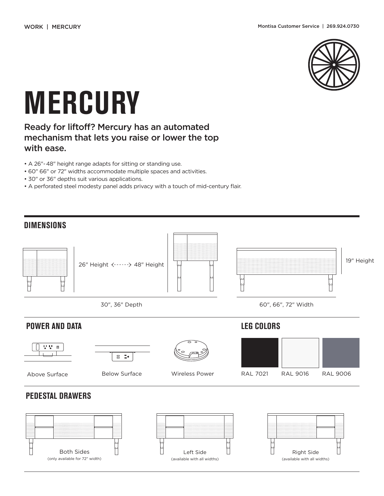

# **MERCURY**

#### Ready for liftoff? Mercury has an automated mechanism that lets you raise or lower the top with ease.

- A 26"-48" height range adapts for sitting or standing use.
- 60" 66" or 72" widths accommodate multiple spaces and activities.
- 30" or 36" depths suit various applications.
- A perforated steel modesty panel adds privacy with a touch of mid-century flair.



![](_page_1_Figure_11.jpeg)

![](_page_1_Figure_12.jpeg)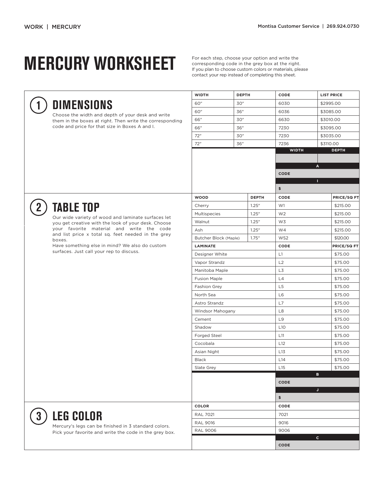## **MERCURY WORKSHEET**

For each step, choose your option and write the corresponding code in the grey box at the right. If you plan to choose custom colors or materials, please contact your rep instead of completing this sheet.

**WIDTH DEPTH CODE LIST PRICE**

**DIMENSIONS**

Choose the width and depth of your desk and write them in the boxes at right. Then write the corresponding code and price for that size in Boxes A and I.

| 60"                   | 30"<br>36"<br>30" |                  | 6030                | \$2995.00                    |                      |  |  |  |  |
|-----------------------|-------------------|------------------|---------------------|------------------------------|----------------------|--|--|--|--|
| 60"                   |                   |                  | 6036                | \$3085.00                    |                      |  |  |  |  |
| 66"                   |                   |                  | 6630                | \$3010.00                    |                      |  |  |  |  |
| 66"                   | 36"               |                  | 7230                | \$3095.00                    |                      |  |  |  |  |
| 72"                   | 30"               |                  | 7230                | \$3035.00                    |                      |  |  |  |  |
| 72"                   | 36"               |                  | 7236                | \$3110.00                    |                      |  |  |  |  |
|                       |                   |                  |                     | <b>WIDTH</b><br><b>DEPTH</b> |                      |  |  |  |  |
|                       |                   |                  |                     |                              |                      |  |  |  |  |
|                       |                   |                  | А                   |                              |                      |  |  |  |  |
|                       |                   |                  |                     | <b>CODE</b><br>П             |                      |  |  |  |  |
|                       |                   |                  |                     |                              |                      |  |  |  |  |
|                       |                   |                  | \$                  |                              |                      |  |  |  |  |
| <b>WOOD</b>           |                   | <b>DEPTH</b>     | CODE                |                              | PRICE/SQ FT          |  |  |  |  |
| Cherry                |                   | 1.25''           | W1                  |                              | \$215.00<br>\$215.00 |  |  |  |  |
| Multispecies          |                   | 1.25''           | W <sub>2</sub>      |                              |                      |  |  |  |  |
| Walnut                |                   | 1.25''<br>1.25'' | W3                  |                              |                      |  |  |  |  |
|                       | Ash               |                  | W4                  |                              | \$215.00<br>\$120.00 |  |  |  |  |
| Butcher Block (Maple) |                   | 1.75''           |                     | WS2                          |                      |  |  |  |  |
| <b>LAMINATE</b>       |                   |                  | CODE                | PRICE/SQ FT                  |                      |  |  |  |  |
| Designer White        |                   |                  | L1                  | \$75.00                      |                      |  |  |  |  |
| Vapor Strandz         |                   |                  | L2                  | \$75.00                      |                      |  |  |  |  |
| Manitoba Maple        |                   |                  | L3                  | \$75.00                      |                      |  |  |  |  |
| <b>Fusion Maple</b>   |                   |                  | L4<br>L5            | \$75.00                      |                      |  |  |  |  |
| Fashion Grey          |                   |                  |                     |                              | \$75.00<br>\$75.00   |  |  |  |  |
| North Sea             |                   |                  |                     | L6                           |                      |  |  |  |  |
| Astro Strandz         |                   |                  |                     | L7                           |                      |  |  |  |  |
| Windsor Mahogany      |                   |                  | L8                  | \$75.00                      |                      |  |  |  |  |
| Cement                |                   |                  | L9                  | \$75.00                      |                      |  |  |  |  |
| Shadow                |                   |                  | L10                 | \$75.00                      |                      |  |  |  |  |
| Forged Steel          |                   |                  | L11                 | \$75.00                      |                      |  |  |  |  |
| Cocobala              |                   |                  | L <sub>12</sub>     | \$75.00                      |                      |  |  |  |  |
| Asian Night           |                   |                  | L13                 | \$75.00                      |                      |  |  |  |  |
| <b>Black</b>          |                   |                  |                     | L14                          |                      |  |  |  |  |
| Slate Grey            |                   |                  | L15<br>\$75.00<br>B |                              |                      |  |  |  |  |
|                       |                   |                  | <b>CODE</b>         |                              |                      |  |  |  |  |
|                       |                   |                  |                     | J                            |                      |  |  |  |  |
|                       |                   |                  |                     | \$                           |                      |  |  |  |  |
| <b>COLOR</b>          |                   |                  | CODE                |                              |                      |  |  |  |  |
| <b>RAL 7021</b>       |                   |                  | 7021                |                              |                      |  |  |  |  |
| <b>RAL 9016</b>       |                   |                  | 9016                |                              |                      |  |  |  |  |
| <b>RAL 9006</b>       |                   |                  | 9006                |                              |                      |  |  |  |  |
|                       |                   |                  | c.                  |                              |                      |  |  |  |  |
|                       |                   |                  | <b>CODE</b>         |                              |                      |  |  |  |  |

![](_page_2_Picture_7.jpeg)

**1**

### **TABLE TOP**

Our wide variety of wood and laminate surfaces let you get creative with the look of your desk. Choose your favorite material and write the code and list price x total sq. feet needed in the grey boxes.

Have something else in mind? We also do custom surfaces. Just call your rep to discuss.

**3**

### **LEG COLOR**

Mercury's legs can be finished in 3 standard colors. Pick your favorite and write the code in the grey box.